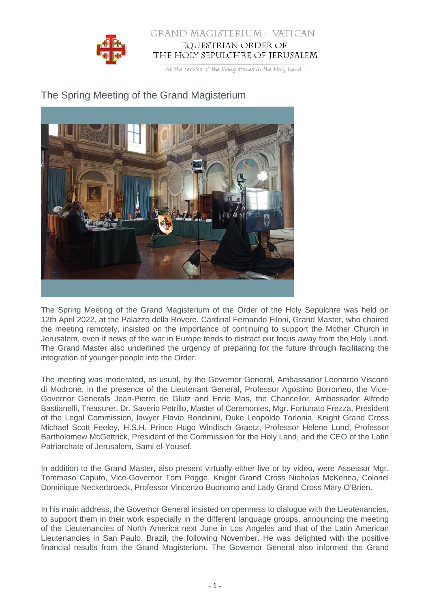

## GRAND MAGISTERIUM - VATICAN EQUESTRIAN ORDER OF THE HOLY SEPULCHRE OF JERUSALEM

At the service of the living stones in the Holy Land

## The Spring Meeting of the Grand Magisterium



The Spring Meeting of the Grand Magisterium of the Order of the Holy Sepulchre was held on 12th April 2022, at the Palazzo della Rovere. Cardinal Fernando Filoni, Grand Master, who chaired the meeting remotely, insisted on the importance of continuing to support the Mother Church in Jerusalem, even if news of the war in Europe tends to distract our focus away from the Holy Land. The Grand Master also underlined the urgency of preparing for the future through facilitating the integration of younger people into the Order.

The meeting was moderated, as usual, by the Governor General, Ambassador Leonardo Visconti di Modrone, in the presence of the Lieutenant General, Professor Agostino Borromeo, the Vice-Governor Generals Jean-Pierre de Glutz and Enric Mas, the Chancellor, Ambassador Alfredo Bastianelli, Treasurer, Dr. Saverio Petrillo, Master of Ceremonies, Mgr. Fortunato Frezza, President of the Legal Commission, lawyer Flavio Rondinini, Duke Leopoldo Torlonia, Knight Grand Cross Michael Scott Feeley, H.S.H. Prince Hugo Windisch Graetz, Professor Helene Lund, Professor Bartholomew McGettrick, President of the Commission for the Holy Land, and the CEO of the Latin Patriarchate of Jerusalem, Sami el-Yousef.

In addition to the Grand Master, also present virtually either live or by video, were Assessor Mgr. Tommaso Caputo, Vice-Governor Tom Pogge, Knight Grand Cross Nicholas McKenna, Colonel Dominique Neckerbroeck, Professor Vincenzo Buonomo and Lady Grand Cross Mary O'Brien.

In his main address, the Governor General insisted on openness to dialogue with the Lieutenancies, to support them in their work especially in the different language groups, announcing the meeting of the Lieutenancies of North America next June in Los Angeles and that of the Latin American Lieutenancies in San Paulo, Brazil, the following November. He was delighted with the positive financial results from the Grand Magisterium. The Governor General also informed the Grand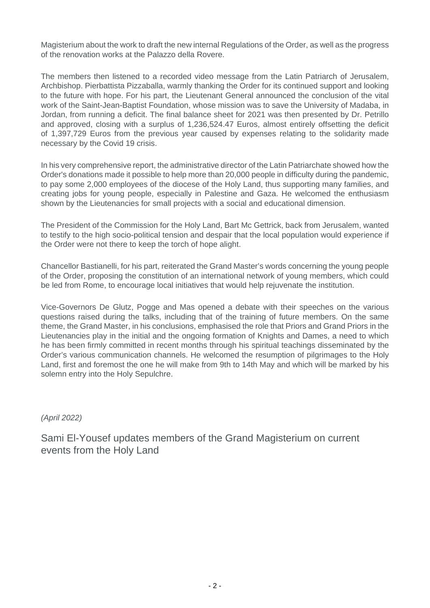Magisterium about the work to draft the new internal Regulations of the Order, as well as the progress of the renovation works at the Palazzo della Rovere.

The members then listened to a recorded video message from the Latin Patriarch of Jerusalem, Archbishop. Pierbattista Pizzaballa, warmly thanking the Order for its continued support and looking to the future with hope. For his part, the Lieutenant General announced the conclusion of the vital work of the Saint-Jean-Baptist Foundation, whose mission was to save the University of Madaba, in Jordan, from running a deficit. The final balance sheet for 2021 was then presented by Dr. Petrillo and approved, closing with a surplus of 1,236,524.47 Euros, almost entirely offsetting the deficit of 1,397,729 Euros from the previous year caused by expenses relating to the solidarity made necessary by the Covid 19 crisis.

In his very comprehensive report, the administrative director of the Latin Patriarchate showed how the Order's donations made it possible to help more than 20,000 people in difficulty during the pandemic, to pay some 2,000 employees of the diocese of the Holy Land, thus supporting many families, and creating jobs for young people, especially in Palestine and Gaza. He welcomed the enthusiasm shown by the Lieutenancies for small projects with a social and educational dimension.

The President of the Commission for the Holy Land, Bart Mc Gettrick, back from Jerusalem, wanted to testify to the high socio-political tension and despair that the local population would experience if the Order were not there to keep the torch of hope alight.

Chancellor Bastianelli, for his part, reiterated the Grand Master's words concerning the young people of the Order, proposing the constitution of an international network of young members, which could be led from Rome, to encourage local initiatives that would help rejuvenate the institution.

Vice-Governors De Glutz, Pogge and Mas opened a debate with their speeches on the various questions raised during the talks, including that of the training of future members. On the same theme, the Grand Master, in his conclusions, emphasised the role that Priors and Grand Priors in the Lieutenancies play in the initial and the ongoing formation of Knights and Dames, a need to which he has been firmly committed in recent months through his spiritual teachings disseminated by the Order's various communication channels. He welcomed the resumption of pilgrimages to the Holy Land, first and foremost the one he will make from 9th to 14th May and which will be marked by his solemn entry into the Holy Sepulchre.

(April 2022)

Sami El-Yousef updates members of the Grand Magisterium on current events from the Holy Land